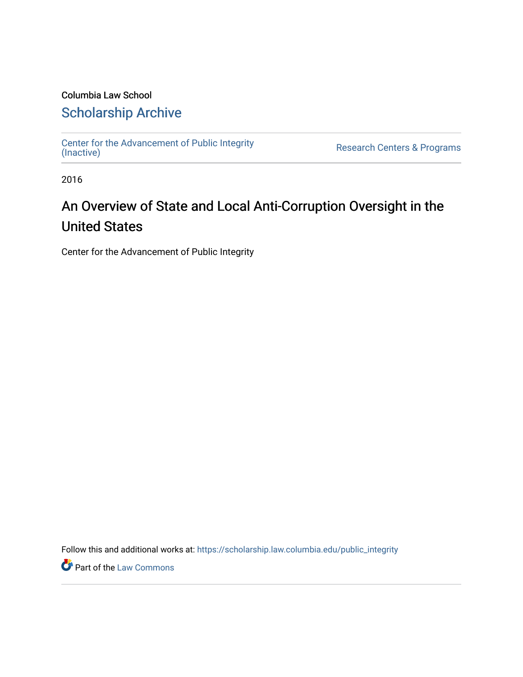# Columbia Law School

# [Scholarship Archive](https://scholarship.law.columbia.edu/)

[Center for the Advancement of Public Integrity](https://scholarship.law.columbia.edu/public_integrity)<br>(Inactive)

Research Centers & Programs

2016

# An Overview of State and Local Anti-Corruption Oversight in the United States

Center for the Advancement of Public Integrity

Follow this and additional works at: [https://scholarship.law.columbia.edu/public\\_integrity](https://scholarship.law.columbia.edu/public_integrity?utm_source=scholarship.law.columbia.edu%2Fpublic_integrity%2F71&utm_medium=PDF&utm_campaign=PDFCoverPages)

**Part of the [Law Commons](http://network.bepress.com/hgg/discipline/578?utm_source=scholarship.law.columbia.edu%2Fpublic_integrity%2F71&utm_medium=PDF&utm_campaign=PDFCoverPages)**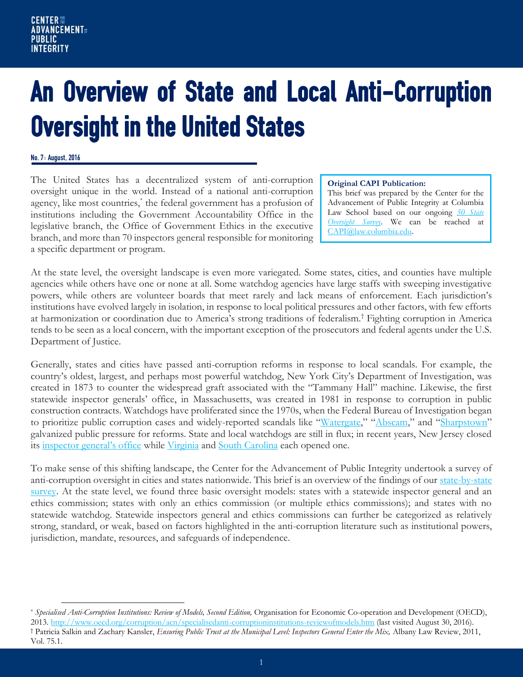# An Overview of State and Local Anti-Corruption Oversight in the United States

#### No. 7: August, 2016

 $\overline{a}$ 

The United States has a decentralized system of anti-corruption oversight unique in the world. Instead of a national anti-corruption agency, like most countries,\* the federal government has a profusion of institutions including the Government Accountability Office in the legislative branch, the Office of Government Ethics in the executive branch, and more than 70 inspectors general responsible for monitoring a specific department or program.

#### **Original CAPI Publication:**

This brief was prepared by the Center for the Advancement of Public Integrity at Columbia Law School based on our ongoing **50** State *[Oversight Survey](https://web.law.columbia.edu/capi-map)*. We can be reached at [CAPI@law.columbia.edu.](mailto:CAPI@law.columbia.edu)

At the state level, the oversight landscape is even more variegated. Some states, cities, and counties have multiple agencies while others have one or none at all. Some watchdog agencies have large staffs with sweeping investigative powers, while others are volunteer boards that meet rarely and lack means of enforcement. Each jurisdiction's institutions have evolved largely in isolation, in response to local political pressures and other factors, with few efforts at harmonization or coordination due to America's strong traditions of federalism.† Fighting corruption in America tends to be seen as a local concern, with the important exception of the prosecutors and federal agents under the U.S. Department of Justice.

Generally, states and cities have passed anti-corruption reforms in response to local scandals. For example, the country's oldest, largest, and perhaps most powerful watchdog, New York City's Department of Investigation, was created in 1873 to counter the widespread graft associated with the "Tammany Hall" machine. Likewise, the first statewide inspector generals' office, in Massachusetts, was created in 1981 in response to corruption in public construction contracts. Watchdogs have proliferated since the 1970s, when the Federal Bureau of Investigation began to prioritize public corruption cases and widely-reported scandals like "[Watergate](http://www.washingtonpost.com/wp-srv/politics/special/watergate/)," "[Abscam](http://www.nj.com/inside-jersey/index.ssf/2013/11/jersey_hustle_the_real-life_story_of_abscam.html)," and "[Sharpstown](http://www.texasmonthly.com/politics/sharpstown-revisited/)" galvanized public pressure for reforms. State and local watchdogs are still in flux; in recent years, New Jersey closed its [inspector general's office](http://nj.gov/comptroller/news/oig/oig_archive.htm) while [Virginia](http://osig.virginia.gov/) and [South Carolina](http://oig.sc.gov/Pages/default.aspx) each opened one.

To make sense of this shifting landscape, the Center for the Advancement of Public Integrity undertook a survey of anti-corruption oversight in cities and states nationwide. This brief is an overview of the findings of our [state-by-state](http://web.law.columbia.edu/capi-map)  [survey.](http://web.law.columbia.edu/capi-map) At the state level, we found three basic oversight models: states with a statewide inspector general and an ethics commission; states with only an ethics commission (or multiple ethics commissions); and states with no statewide watchdog. Statewide inspectors general and ethics commissions can further be categorized as relatively strong, standard, or weak, based on factors highlighted in the anti-corruption literature such as institutional powers, jurisdiction, mandate, resources, and safeguards of independence.

<sup>\*</sup> *Specialised Anti-Corruption Institutions: Review of Models, Second Edition,* Organisation for Economic Co-operation and Development (OECD), 2013.<http://www.oecd.org/corruption/acn/specialisedanti-corruptioninstitutions-reviewofmodels.htm> (last visited August 30, 2016). † Patricia Salkin and Zachary Kansler, *Ensuring Public Trust at the Municipal Level: Inspectors General Enter the Mix,* Albany Law Review, 2011, Vol. 75.1.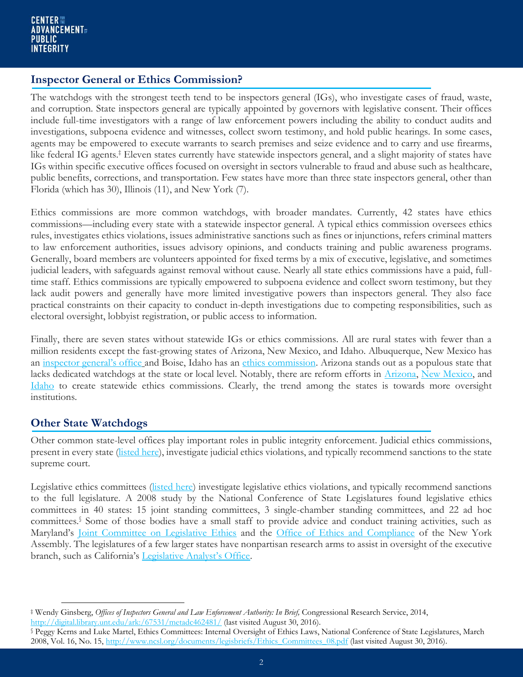## **Inspector General or Ethics Commission?**

The watchdogs with the strongest teeth tend to be inspectors general (IGs), who investigate cases of fraud, waste, and corruption. State inspectors general are typically appointed by governors with legislative consent. Their offices include full-time investigators with a range of law enforcement powers including the ability to conduct audits and investigations, subpoena evidence and witnesses, collect sworn testimony, and hold public hearings. In some cases, agents may be empowered to execute warrants to search premises and seize evidence and to carry and use firearms, like federal IG agents.<sup>‡</sup> Eleven states currently have statewide inspectors general, and a slight majority of states have IGs within specific executive offices focused on oversight in sectors vulnerable to fraud and abuse such as healthcare, public benefits, corrections, and transportation. Few states have more than three state inspectors general, other than Florida (which has 30), Illinois (11), and New York (7).

Ethics commissions are more common watchdogs, with broader mandates. Currently, 42 states have ethics commissions—including every state with a statewide inspector general. A typical ethics commission oversees ethics rules, investigates ethics violations, issues administrative sanctions such as fines or injunctions, refers criminal matters to law enforcement authorities, issues advisory opinions, and conducts training and public awareness programs. Generally, board members are volunteers appointed for fixed terms by a mix of executive, legislative, and sometimes judicial leaders, with safeguards against removal without cause. Nearly all state ethics commissions have a paid, fulltime staff. Ethics commissions are typically empowered to subpoena evidence and collect sworn testimony, but they lack audit powers and generally have more limited investigative powers than inspectors general. They also face practical constraints on their capacity to conduct in-depth investigations due to competing responsibilities, such as electoral oversight, lobbyist registration, or public access to information.

Finally, there are seven states without statewide IGs or ethics commissions. All are rural states with fewer than a million residents except the fast-growing states of Arizona, New Mexico, and Idaho. Albuquerque, New Mexico has an [inspector general's office](https://www.cabq.gov/inspectorgeneral) and Boise, Idaho has an [ethics commission.](http://mayor.cityofboise.org/ethics-commission/) Arizona stands out as a populous state that lacks dedicated watchdogs at the state or local level. Notably, there are reform efforts in [Arizona,](http://archive.azcentral.com/news/politics/articles/20130315arizona-legislature-short-ethics-rules.html) [New Mexico,](http://nmpoliticalreport.com/32419/ethics-commission-dies-again-nmleg/) and [Idaho](http://www.spokesman.com/stories/2012/mar/06/idaho-lawmakers-drop-ethics-commission-idea/) to create statewide ethics commissions. Clearly, the trend among the states is towards more oversight institutions.

## **Other State Watchdogs**

 $\overline{a}$ 

Other common state-level offices play important roles in public integrity enforcement. Judicial ethics commissions, present in every state [\(listed here\)](http://www.judicialselection.us/judicial_selection/methods/removal_of_judges.cfm?state), investigate judicial ethics violations, and typically recommend sanctions to the state supreme court.

Legislative ethics committees [\(listed here\)](http://www.ncsl.org/research/ethics/table-of-legislative-ethics-committees.aspx) investigate legislative ethics violations, and typically recommend sanctions to the full legislature. A 2008 study by the National Conference of State Legislatures found legislative ethics committees in 40 states: 15 joint standing committees, 3 single-chamber standing committees, and 22 ad hoc committees.§ Some of those bodies have a small staff to provide advice and conduct training activities, such as Maryland's [Joint Committee on Legislative Ethics](http://msa.maryland.gov/msa/mdmanual/07leg/html/com/07lege.html) and the [Office of Ethics and Compliance](http://assembly.state.ny.us/Press/20150928/) of the New York Assembly. The legislatures of a few larger states have nonpartisan research arms to assist in oversight of the executive branch, such as California's [Legislative Analyst's Office](http://www.lao.ca.gov/).

<sup>‡</sup> Wendy Ginsberg, *Offices of Inspectors General and Law Enforcement Authority: In Brief,* Congressional Research Service, 2014, <http://digital.library.unt.edu/ark:/67531/metadc462481/> (last visited August 30, 2016).

<sup>§</sup> Peggy Kerns and Luke Martel, Ethics Committees: Internal Oversight of Ethics Laws, National Conference of State Legislatures, March 2008, Vol. 16, No. 15, [http://www.ncsl.org/documents/legisbriefs/Ethics\\_Committees\\_08.pdf](http://www.ncsl.org/documents/legisbriefs/Ethics_Committees_08.pdf) (last visited August 30, 2016).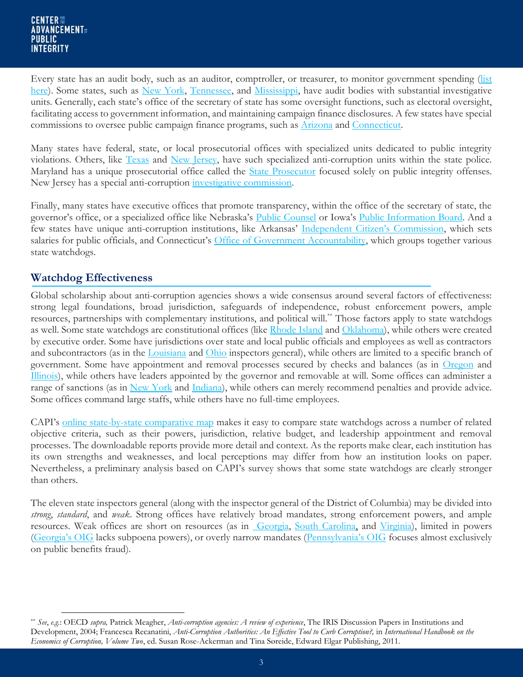Every state has an audit body, such as an auditor, comptroller, or treasurer, to monitor government spending (list [here\)](http://www.nasact.org/AF_MemberDirectory.asp). Some states, such as [New York,](http://www.osc.state.ny.us/) [Tennessee,](http://www.comptroller.tn.gov/) and [Mississippi,](http://www.controller.msstate.edu/) have audit bodies with substantial investigative units. Generally, each state's office of the secretary of state has some oversight functions, such as electoral oversight, facilitating access to government information, and maintaining campaign finance disclosures. A few states have special commissions to oversee public campaign finance programs, such as [Arizona](http://www.azcleanelections.gov/) and [Connecticut.](http://www.ct.gov/seec/cwp/view.asp?a=3548&Q=489606)

Many states have federal, state, or local prosecutorial offices with specialized units dedicated to public integrity violations. Others, like [Texas](https://www.dps.texas.gov/TexasRangers/specialUnits.htm) and [New Jersey,](http://www.njsp.org/division/investigations/governmental-integrity.shtml) have such specialized anti-corruption units within the state police. Maryland has a unique prosecutorial office called the **State Prosecutor** focused solely on public integrity offenses. New Jersey has a special anti-corruption [investigative commission.](http://www.state.nj.us/sci/index.shtm)

Finally, many states have executive offices that promote transparency, within the office of the secretary of state, the governor's office, or a specialized office like Nebraska's [Public Counsel](http://www.nebraskalegislature.gov/divisions/ombud.php) or Iowa's [Public Information Board.](https://www.ipib.iowa.gov/) And a few states have unique anti-corruption institutions, like Arkansas' [Independent Citizen's](http://citizenscommission.ar.gov/) Commission, which sets salaries for public officials, and Connecticut's [Office of Government Accountability,](http://www.ct.gov/oga/site/default.asp) which groups together various state watchdogs.

## **Watchdog Effectiveness**

 $\overline{a}$ 

Global scholarship about anti-corruption agencies shows a wide consensus around several factors of effectiveness: strong legal foundations, broad jurisdiction, safeguards of independence, robust enforcement powers, ample resources, partnerships with complementary institutions, and political will.\*\* Those factors apply to state watchdogs as well. Some state watchdogs are constitutional offices (like [Rhode Island](http://www.ethics.ri.gov/) and [Oklahoma\)](https://www.ok.gov/ethics/), while others were created by executive order. Some have jurisdictions over state and local public officials and employees as well as contractors and subcontractors (as in the [Louisiana](http://oig.louisiana.gov/) and [Ohio](http://watchdog.ohio.gov/) inspectors general), while others are limited to a specific branch of government. Some have appointment and removal processes secured by checks and balances (as in [Oregon](http://www.oregon.gov/ogec/Pages/index.aspx) and [Illinois\)](https://www.illinois.gov/oeig/Pages/default.aspx), while others have leaders appointed by the governor and removable at will. Some offices can administer a range of sanctions (as in [New York](https://ig.ny.gov/) and [Indiana\)](http://www.in.gov/ig/), while others can merely recommend penalties and provide advice. Some offices command large staffs, while others have no full-time employees.

CAPI's [online state-by-state comparative map](http://web.law.columbia.edu/capi-map#capi-mapinfo) makes it easy to compare state watchdogs across a number of related objective criteria, such as their powers, jurisdiction, relative budget, and leadership appointment and removal processes. The downloadable reports provide more detail and context. As the reports make clear, each institution has its own strengths and weaknesses, and local perceptions may differ from how an institution looks on paper. Nevertheless, a preliminary analysis based on CAPI's survey shows that some state watchdogs are clearly stronger than others.

The eleven state inspectors general (along with the inspector general of the District of Columbia) may be divided into *strong*, *standard*, and *weak*. Strong offices have relatively broad mandates, strong enforcement powers, and ample resources. Weak offices are short on resources (as in [Georgia,](https://oig.georgia.gov/) [South Carolina,](http://oig.sc.gov/Pages/default.aspx) and [Virginia\)](http://osig.virginia.gov/), limited in powers ([Georgia's OIG](https://oig.georgia.gov/) lacks subpoena powers), or overly narrow mandates ([Pennsylvania's OIG](http://www.oig.pa.gov/Pages/default.aspx#.V8XSxvkrLcs) focuses almost exclusively on public benefits fraud).

<sup>\*\*</sup> *See*, *e.g.*: OECD *supra,* Patrick Meagher, *Anti-corruption agencies: A review of experience*, The IRIS Discussion Papers in Institutions and Development, 2004; Francesca Recanatini, *Anti-Corruption Authorities: An Effective Tool to Curb Corruption?,* in *International Handbook on the Economics of Corruption, Volume Two*, ed. Susan Rose-Ackerman and Tina Søreide, Edward Elgar Publishing, 2011.